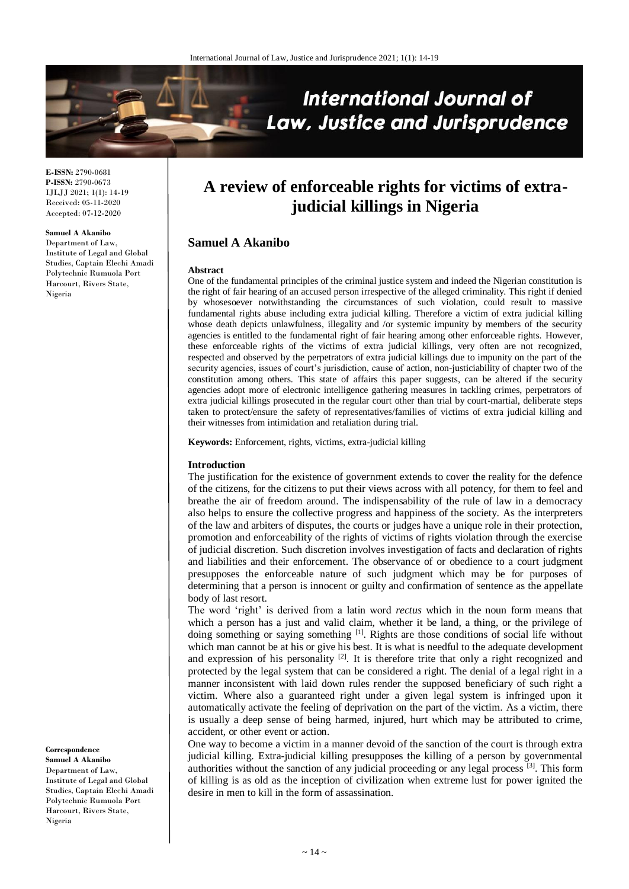

**E-ISSN:** 2790-0681 **P-ISSN:** 2790-0673 IJLJJ 2021; 1(1): 14-19 Received: 05-11-2020 Accepted: 07-12-2020

#### **Samuel A Akanibo**

Department of Law, Institute of Legal and Global Studies, Captain Elechi Amadi Polytechnic Rumuola Port Harcourt, Rivers State, Nigeria

# **A review of enforceable rights for victims of extrajudicial killings in Nigeria**

# **Samuel A Akanibo**

#### **Abstract**

One of the fundamental principles of the criminal justice system and indeed the Nigerian constitution is the right of fair hearing of an accused person irrespective of the alleged criminality. This right if denied by whosesoever notwithstanding the circumstances of such violation, could result to massive fundamental rights abuse including extra judicial killing. Therefore a victim of extra judicial killing whose death depicts unlawfulness, illegality and /or systemic impunity by members of the security agencies is entitled to the fundamental right of fair hearing among other enforceable rights. However, these enforceable rights of the victims of extra judicial killings, very often are not recognized, respected and observed by the perpetrators of extra judicial killings due to impunity on the part of the security agencies, issues of court's jurisdiction, cause of action, non-justiciability of chapter two of the constitution among others. This state of affairs this paper suggests, can be altered if the security agencies adopt more of electronic intelligence gathering measures in tackling crimes, perpetrators of extra judicial killings prosecuted in the regular court other than trial by court-martial, deliberate steps taken to protect/ensure the safety of representatives/families of victims of extra judicial killing and their witnesses from intimidation and retaliation during trial.

**Keywords:** Enforcement, rights, victims, extra-judicial killing

#### **Introduction**

The justification for the existence of government extends to cover the reality for the defence of the citizens, for the citizens to put their views across with all potency, for them to feel and breathe the air of freedom around. The indispensability of the rule of law in a democracy also helps to ensure the collective progress and happiness of the society. As the interpreters of the law and arbiters of disputes, the courts or judges have a unique role in their protection, promotion and enforceability of the rights of victims of rights violation through the exercise of judicial discretion. Such discretion involves investigation of facts and declaration of rights and liabilities and their enforcement. The observance of or obedience to a court judgment presupposes the enforceable nature of such judgment which may be for purposes of determining that a person is innocent or guilty and confirmation of sentence as the appellate body of last resort.

The word 'right' is derived from a latin word *rectus* which in the noun form means that which a person has a just and valid claim, whether it be land, a thing, or the privilege of doing something or saying something [1]. Rights are those conditions of social life without which man cannot be at his or give his best. It is what is needful to the adequate development and expression of his personality  $[2]$ . It is therefore trite that only a right recognized and protected by the legal system that can be considered a right. The denial of a legal right in a manner inconsistent with laid down rules render the supposed beneficiary of such right a victim. Where also a guaranteed right under a given legal system is infringed upon it automatically activate the feeling of deprivation on the part of the victim. As a victim, there is usually a deep sense of being harmed, injured, hurt which may be attributed to crime, accident, or other event or action.

One way to become a victim in a manner devoid of the sanction of the court is through extra judicial killing. Extra-judicial killing presupposes the killing of a person by governmental authorities without the sanction of any judicial proceeding or any legal process [3]. This form of killing is as old as the inception of civilization when extreme lust for power ignited the desire in men to kill in the form of assassination.

#### **Correspondence**

**Samuel A Akanibo** Department of Law, Institute of Legal and Global Studies, Captain Elechi Amadi Polytechnic Rumuola Port Harcourt, Rivers State, Nigeria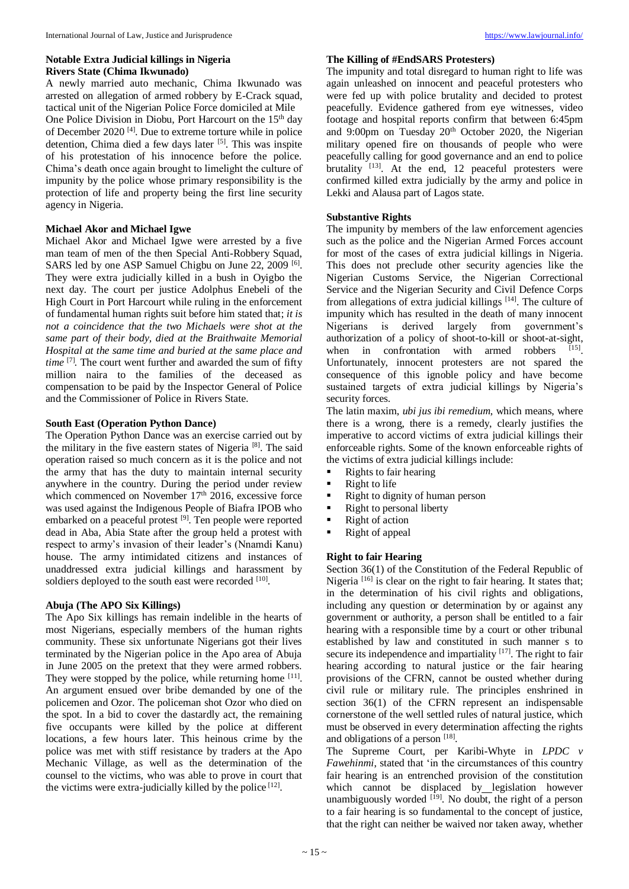# **Notable Extra Judicial killings in Nigeria Rivers State (Chima Ikwunado)**

A newly married auto mechanic, Chima Ikwunado was arrested on allegation of armed robbery by E-Crack squad, tactical unit of the Nigerian Police Force domiciled at Mile One Police Division in Diobu, Port Harcourt on the 15<sup>th</sup> day of December 2020<sup>[4]</sup>. Due to extreme torture while in police detention, Chima died a few days later [5]. This was inspite of his protestation of his innocence before the police. Chima's death once again brought to limelight the culture of impunity by the police whose primary responsibility is the protection of life and property being the first line security agency in Nigeria.

# **Michael Akor and Michael Igwe**

Michael Akor and Michael Igwe were arrested by a five man team of men of the then Special Anti-Robbery Squad, SARS led by one ASP Samuel Chigbu on June 22, 2009<sup>[6]</sup>. They were extra judicially killed in a bush in Oyigbo the next day. The court per justice Adolphus Enebeli of the High Court in Port Harcourt while ruling in the enforcement of fundamental human rights suit before him stated that; *it is not a coincidence that the two Michaels were shot at the same part of their body, died at the Braithwaite Memorial Hospital at the same time and buried at the same place and time* [7] *.* The court went further and awarded the sum of fifty million naira to the families of the deceased as compensation to be paid by the Inspector General of Police and the Commissioner of Police in Rivers State.

# **South East (Operation Python Dance)**

The Operation Python Dance was an exercise carried out by the military in the five eastern states of Nigeria<sup>[8]</sup>. The said operation raised so much concern as it is the police and not the army that has the duty to maintain internal security anywhere in the country. During the period under review which commenced on November 17<sup>th</sup> 2016, excessive force was used against the Indigenous People of Biafra IPOB who embarked on a peaceful protest <sup>[9]</sup>. Ten people were reported dead in Aba, Abia State after the group held a protest with respect to army's invasion of their leader's (Nnamdi Kanu) house. The army intimidated citizens and instances of unaddressed extra judicial killings and harassment by soldiers deployed to the south east were recorded [10].

# **Abuja (The APO Six Killings)**

The Apo Six killings has remain indelible in the hearts of most Nigerians, especially members of the human rights community. These six unfortunate Nigerians got their lives terminated by the Nigerian police in the Apo area of Abuja in June 2005 on the pretext that they were armed robbers. They were stopped by the police, while returning home  $[11]$ . An argument ensued over bribe demanded by one of the policemen and Ozor. The policeman shot Ozor who died on the spot. In a bid to cover the dastardly act, the remaining five occupants were killed by the police at different locations, a few hours later. This heinous crime by the police was met with stiff resistance by traders at the Apo Mechanic Village, as well as the determination of the counsel to the victims, who was able to prove in court that the victims were extra-judicially killed by the police  $[12]$ .

# **The Killing of #EndSARS Protesters)**

The impunity and total disregard to human right to life was again unleashed on innocent and peaceful protesters who were fed up with police brutality and decided to protest peacefully. Evidence gathered from eye witnesses, video footage and hospital reports confirm that between 6:45pm and 9:00pm on Tuesday 20<sup>th</sup> October 2020, the Nigerian military opened fire on thousands of people who were peacefully calling for good governance and an end to police brutality <sup>[13]</sup>. At the end, 12 peaceful protesters were confirmed killed extra judicially by the army and police in Lekki and Alausa part of Lagos state.

# **Substantive Rights**

The impunity by members of the law enforcement agencies such as the police and the Nigerian Armed Forces account for most of the cases of extra judicial killings in Nigeria. This does not preclude other security agencies like the Nigerian Customs Service, the Nigerian Correctional Service and the Nigerian Security and Civil Defence Corps from allegations of extra judicial killings [14]. The culture of impunity which has resulted in the death of many innocent Nigerians is derived largely from government's authorization of a policy of shoot-to-kill or shoot-at-sight, when in confrontation with armed robbers [15]. Unfortunately, innocent protesters are not spared the consequence of this ignoble policy and have become sustained targets of extra judicial killings by Nigeria's security forces.

The latin maxim, *ubi jus ibi remedium*, which means, where there is a wrong, there is a remedy, clearly justifies the imperative to accord victims of extra judicial killings their enforceable rights. Some of the known enforceable rights of the victims of extra judicial killings include:

- Rights to fair hearing
- $\blacksquare$  Right to life
- **Right to dignity of human person**
- Right to personal liberty
- Right of action
- Right of appeal

# **Right to fair Hearing**

Section 36(1) of the Constitution of the Federal Republic of Nigeria<sup>[16]</sup> is clear on the right to fair hearing. It states that; in the determination of his civil rights and obligations, including any question or determination by or against any government or authority, a person shall be entitled to a fair hearing with a responsible time by a court or other tribunal established by law and constituted in such manner s to secure its independence and impartiality [17]. The right to fair hearing according to natural justice or the fair hearing provisions of the CFRN, cannot be ousted whether during civil rule or military rule. The principles enshrined in section 36(1) of the CFRN represent an indispensable cornerstone of the well settled rules of natural justice, which must be observed in every determination affecting the rights and obligations of a person [18].

The Supreme Court, per Karibi-Whyte in *LPDC v Fawehinmi*, stated that 'in the circumstances of this country fair hearing is an entrenched provision of the constitution which cannot be displaced by legislation however unambiguously worded  $[19]$ . No doubt, the right of a person to a fair hearing is so fundamental to the concept of justice, that the right can neither be waived nor taken away, whether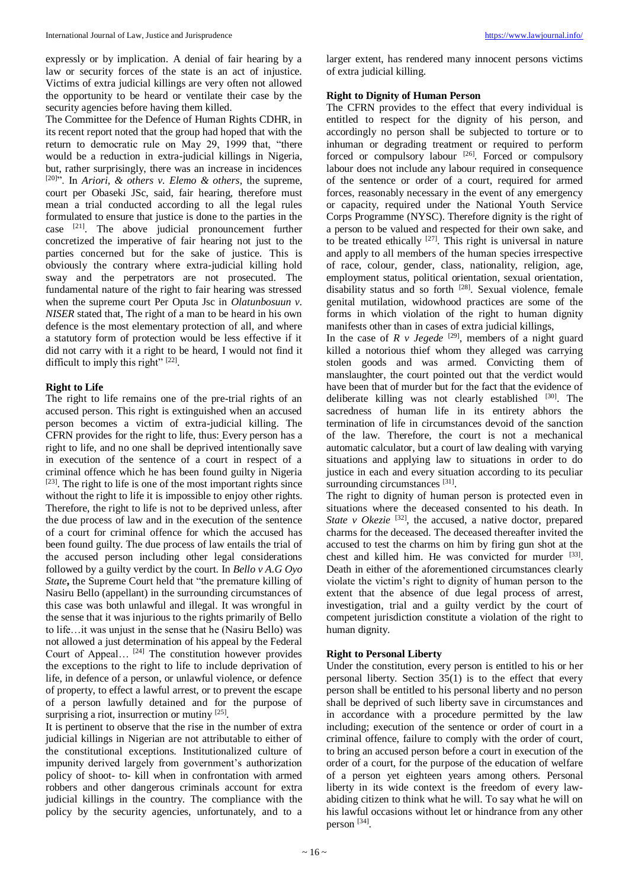expressly or by implication. A denial of fair hearing by a law or security forces of the state is an act of injustice. Victims of extra judicial killings are very often not allowed the opportunity to be heard or ventilate their case by the security agencies before having them killed.

The Committee for the Defence of Human Rights CDHR, in its recent report noted that the group had hoped that with the return to democratic rule on May 29, 1999 that, "there would be a reduction in extra-judicial killings in Nigeria, but, rather surprisingly, there was an increase in incidences  $[20]$ <sup>20</sup>. In *Ariori*, & *others v. Elemo & others*, the supreme, court per Obaseki JSc, said, fair hearing, therefore must mean a trial conducted according to all the legal rules formulated to ensure that justice is done to the parties in the case  $[21]$ . The above judicial pronouncement further concretized the imperative of fair hearing not just to the parties concerned but for the sake of justice. This is obviously the contrary where extra-judicial killing hold sway and the perpetrators are not prosecuted. The fundamental nature of the right to fair hearing was stressed when the supreme court Per Oputa Jsc in *Olatunbosuun v. NISER* stated that, The right of a man to be heard in his own defence is the most elementary protection of all, and where a statutory form of protection would be less effective if it did not carry with it a right to be heard, I would not find it difficult to imply this right"  $[22]$ .

# **Right to Life**

The right to life remains one of the pre-trial rights of an accused person. This right is extinguished when an accused person becomes a victim of extra-judicial killing. The CFRN provides for the right to life, thus: Every person has a right to life, and no one shall be deprived intentionally save in execution of the sentence of a court in respect of a criminal offence which he has been found guilty in Nigeria [23]. The right to life is one of the most important rights since without the right to life it is impossible to enjoy other rights. Therefore, the right to life is not to be deprived unless, after the due process of law and in the execution of the sentence of a court for criminal offence for which the accused has been found guilty. The due process of law entails the trial of the accused person including other legal considerations followed by a guilty verdict by the court. In *Bello v A.G Oyo State***,** the Supreme Court held that "the premature killing of Nasiru Bello (appellant) in the surrounding circumstances of this case was both unlawful and illegal. It was wrongful in the sense that it was injurious to the rights primarily of Bello to life…it was unjust in the sense that he (Nasiru Bello) was not allowed a just determination of his appeal by the Federal Court of Appeal… [24] The constitution however provides the exceptions to the right to life to include deprivation of life, in defence of a person, or unlawful violence, or defence of property, to effect a lawful arrest, or to prevent the escape of a person lawfully detained and for the purpose of surprising a riot, insurrection or mutiny [25].

It is pertinent to observe that the rise in the number of extra judicial killings in Nigerian are not attributable to either of the constitutional exceptions. Institutionalized culture of impunity derived largely from government's authorization policy of shoot- to- kill when in confrontation with armed robbers and other dangerous criminals account for extra judicial killings in the country. The compliance with the policy by the security agencies, unfortunately, and to a

larger extent, has rendered many innocent persons victims of extra judicial killing.

#### **Right to Dignity of Human Person**

The CFRN provides to the effect that every individual is entitled to respect for the dignity of his person, and accordingly no person shall be subjected to torture or to inhuman or degrading treatment or required to perform forced or compulsory labour <sup>[26]</sup>. Forced or compulsory labour does not include any labour required in consequence of the sentence or order of a court, required for armed forces, reasonably necessary in the event of any emergency or capacity, required under the National Youth Service Corps Programme (NYSC). Therefore dignity is the right of a person to be valued and respected for their own sake, and to be treated ethically  $[27]$ . This right is universal in nature and apply to all members of the human species irrespective of race, colour, gender, class, nationality, religion, age, employment status, political orientation, sexual orientation, disability status and so forth <sup>[28]</sup>. Sexual violence, female genital mutilation, widowhood practices are some of the forms in which violation of the right to human dignity manifests other than in cases of extra judicial killings,

In the case of  $R$  v Jegede<sup>[29]</sup>, members of a night guard killed a notorious thief whom they alleged was carrying stolen goods and was armed. Convicting them of manslaughter, the court pointed out that the verdict would have been that of murder but for the fact that the evidence of deliberate killing was not clearly established [30]. The sacredness of human life in its entirety abhors the termination of life in circumstances devoid of the sanction of the law. Therefore, the court is not a mechanical automatic calculator, but a court of law dealing with varying situations and applying law to situations in order to do justice in each and every situation according to its peculiar surrounding circumstances [31].

The right to dignity of human person is protected even in situations where the deceased consented to his death. In *State v Okezie*<sup>[32]</sup>, the accused, a native doctor, prepared charms for the deceased. The deceased thereafter invited the accused to test the charms on him by firing gun shot at the chest and killed him. He was convicted for murder [33]. Death in either of the aforementioned circumstances clearly violate the victim's right to dignity of human person to the extent that the absence of due legal process of arrest, investigation, trial and a guilty verdict by the court of competent jurisdiction constitute a violation of the right to human dignity.

# **Right to Personal Liberty**

Under the constitution, every person is entitled to his or her personal liberty. Section 35(1) is to the effect that every person shall be entitled to his personal liberty and no person shall be deprived of such liberty save in circumstances and in accordance with a procedure permitted by the law including; execution of the sentence or order of court in a criminal offence, failure to comply with the order of court, to bring an accused person before a court in execution of the order of a court, for the purpose of the education of welfare of a person yet eighteen years among others. Personal liberty in its wide context is the freedom of every lawabiding citizen to think what he will. To say what he will on his lawful occasions without let or hindrance from any other person [34].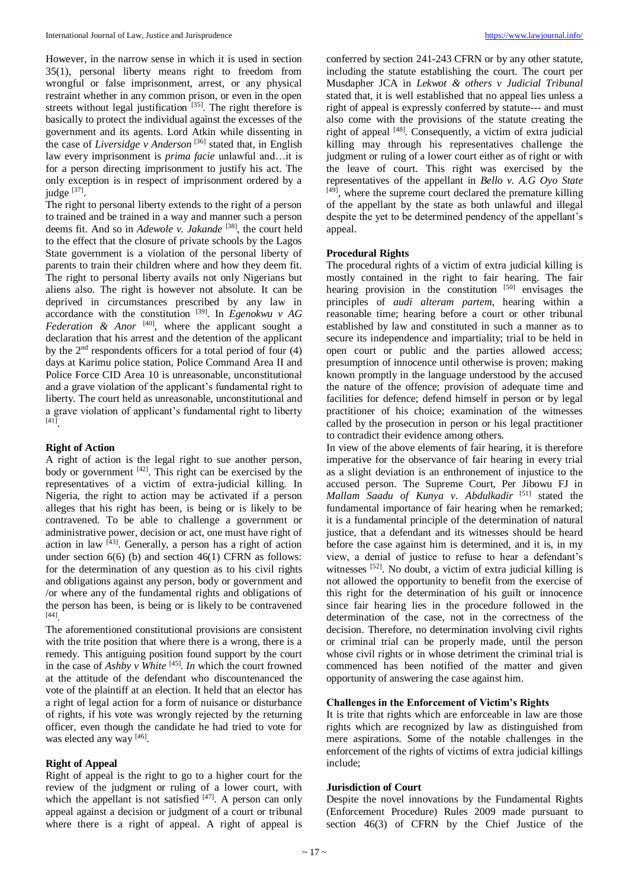However, in the narrow sense in which it is used in section 35(1), personal liberty means right to freedom from wrongful or false imprisonment, arrest, or any physical restraint whether in any common prison, or even in the open streets without legal justification [35]. The right therefore is basically to protect the individual against the excesses of the government and its agents. Lord Atkin while dissenting in the case of *Liversidge v Anderson* [36] stated that, in English law every imprisonment is *prima facie* unlawful and…it is for a person directing imprisonment to justify his act. The only exception is in respect of imprisonment ordered by a judge <sup>[37]</sup>.

The right to personal liberty extends to the right of a person to trained and be trained in a way and manner such a person deems fit. And so in *Adewole v. Jakande* [38] , the court held to the effect that the closure of private schools by the Lagos State government is a violation of the personal liberty of parents to train their children where and how they deem fit. The right to personal liberty avails not only Nigerians but aliens also. The right is however not absolute. It can be deprived in circumstances prescribed by any law in accordance with the constitution  $^{[39]}$ . In *Egenokwu v AG* Federation & Anor<sup>[40]</sup>, where the applicant sought a declaration that his arrest and the detention of the applicant by the  $2<sup>nd</sup>$  respondents officers for a total period of four (4) days at Karimu police station, Police Command Area II and Police Force CID Area 10 is unreasonable, unconstitutional and a grave violation of the applicant's fundamental right to liberty. The court held as unreasonable, unconstitutional and a grave violation of applicant's fundamental right to liberty [41] .

#### **Right of Action**

A right of action is the legal right to sue another person, body or government  $[42]$ . This right can be exercised by the representatives of a victim of extra-judicial killing. In Nigeria, the right to action may be activated if a person alleges that his right has been, is being or is likely to be contravened. To be able to challenge a government or administrative power, decision or act, one must have right of action in law <sup>[43]</sup>. Generally, a person has a right of action under section 6(6) (b) and section 46(1) CFRN as follows: for the determination of any question as to his civil rights and obligations against any person, body or government and /or where any of the fundamental rights and obligations of the person has been, is being or is likely to be contravened [44] .

The aforementioned constitutional provisions are consistent with the trite position that where there is a wrong, there is a remedy. This antiguing position found support by the court in the case of  $Ashby v White$ <sup>[45]</sup>. In which the court frowned at the attitude of the defendant who discountenanced the vote of the plaintiff at an election. It held that an elector has a right of legal action for a form of nuisance or disturbance of rights, if his vote was wrongly rejected by the returning officer, even though the candidate he had tried to vote for was elected any way [46].

#### **Right of Appeal**

Right of appeal is the right to go to a higher court for the review of the judgment or ruling of a lower court, with which the appellant is not satisfied  $[47]$ . A person can only appeal against a decision or judgment of a court or tribunal where there is a right of appeal. A right of appeal is

conferred by section 241-243 CFRN or by any other statute, including the statute establishing the court. The court per Musdapher JCA in *Lekwot & others v Judicial Tribunal*  stated that, it is well established that no appeal lies unless a right of appeal is expressly conferred by statute--- and must also come with the provisions of the statute creating the right of appeal  $[48]$ . Consequently, a victim of extra judicial killing may through his representatives challenge the judgment or ruling of a lower court either as of right or with the leave of court. This right was exercised by the representatives of the appellant in *Bello v. A.G Oyo State* <sup>[49]</sup>, where the supreme court declared the premature killing of the appellant by the state as both unlawful and illegal despite the yet to be determined pendency of the appellant's appeal.

# **Procedural Rights**

The procedural rights of a victim of extra judicial killing is mostly contained in the right to fair hearing. The fair hearing provision in the constitution [50] envisages the principles of *audi alteram partem*, hearing within a reasonable time; hearing before a court or other tribunal established by law and constituted in such a manner as to secure its independence and impartiality; trial to be held in open court or public and the parties allowed access; presumption of innocence until otherwise is proven; making known promptly in the language understood by the accused the nature of the offence; provision of adequate time and facilities for defence; defend himself in person or by legal practitioner of his choice; examination of the witnesses called by the prosecution in person or his legal practitioner to contradict their evidence among others.

In view of the above elements of fair hearing, it is therefore imperative for the observance of fair hearing in every trial as a slight deviation is an enthronement of injustice to the accused person. The Supreme Court, Per Jibowu FJ in *Mallam Saadu of Kunya v. Abdulkadir* [51] stated the fundamental importance of fair hearing when he remarked; it is a fundamental principle of the determination of natural justice, that a defendant and its witnesses should be heard before the case against him is determined, and it is, in my view, a denial of justice to refuse to hear a defendant's witnesses <sup>[52]</sup>. No doubt, a victim of extra judicial killing is not allowed the opportunity to benefit from the exercise of this right for the determination of his guilt or innocence since fair hearing lies in the procedure followed in the determination of the case, not in the correctness of the decision. Therefore, no determination involving civil rights or criminal trial can be properly made, until the person whose civil rights or in whose detriment the criminal trial is commenced has been notified of the matter and given opportunity of answering the case against him.

# **Challenges in the Enforcement of Victim's Rights**

It is trite that rights which are enforceable in law are those rights which are recognized by law as distinguished from mere aspirations. Some of the notable challenges in the enforcement of the rights of victims of extra judicial killings include;

#### **Jurisdiction of Court**

Despite the novel innovations by the Fundamental Rights (Enforcement Procedure) Rules 2009 made pursuant to section 46(3) of CFRN by the Chief Justice of the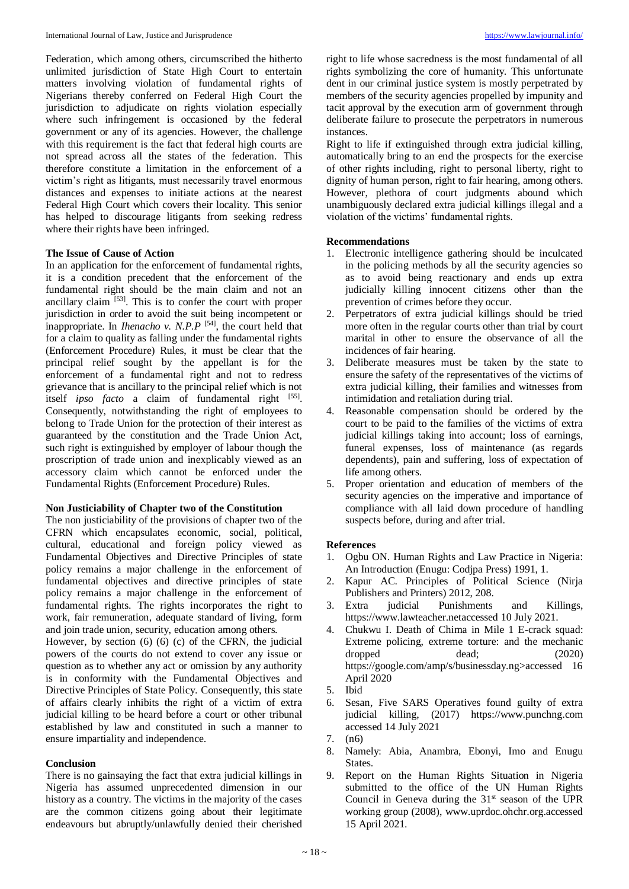Federation, which among others, circumscribed the hitherto unlimited jurisdiction of State High Court to entertain matters involving violation of fundamental rights of Nigerians thereby conferred on Federal High Court the jurisdiction to adjudicate on rights violation especially where such infringement is occasioned by the federal government or any of its agencies. However, the challenge with this requirement is the fact that federal high courts are not spread across all the states of the federation. This therefore constitute a limitation in the enforcement of a victim's right as litigants, must necessarily travel enormous distances and expenses to initiate actions at the nearest Federal High Court which covers their locality. This senior has helped to discourage litigants from seeking redress where their rights have been infringed.

#### **The Issue of Cause of Action**

In an application for the enforcement of fundamental rights, it is a condition precedent that the enforcement of the fundamental right should be the main claim and not an ancillary claim <sup>[53]</sup>. This is to confer the court with proper jurisdiction in order to avoid the suit being incompetent or inappropriate. In *Ihenacho v. N.P.P* [54] , the court held that for a claim to quality as falling under the fundamental rights (Enforcement Procedure) Rules, it must be clear that the principal relief sought by the appellant is for the enforcement of a fundamental right and not to redress grievance that is ancillary to the principal relief which is not itself *ipso facto* a claim of fundamental right [55]. Consequently, notwithstanding the right of employees to belong to Trade Union for the protection of their interest as guaranteed by the constitution and the Trade Union Act, such right is extinguished by employer of labour though the proscription of trade union and inexplicably viewed as an accessory claim which cannot be enforced under the Fundamental Rights (Enforcement Procedure) Rules.

#### **Non Justiciability of Chapter two of the Constitution**

The non justiciability of the provisions of chapter two of the CFRN which encapsulates economic, social, political, cultural, educational and foreign policy viewed as Fundamental Objectives and Directive Principles of state policy remains a major challenge in the enforcement of fundamental objectives and directive principles of state policy remains a major challenge in the enforcement of fundamental rights. The rights incorporates the right to work, fair remuneration, adequate standard of living, form and join trade union, security, education among others.

However, by section (6) (6) (c) of the CFRN, the judicial powers of the courts do not extend to cover any issue or question as to whether any act or omission by any authority is in conformity with the Fundamental Objectives and Directive Principles of State Policy. Consequently, this state of affairs clearly inhibits the right of a victim of extra judicial killing to be heard before a court or other tribunal established by law and constituted in such a manner to ensure impartiality and independence.

#### **Conclusion**

There is no gainsaying the fact that extra judicial killings in Nigeria has assumed unprecedented dimension in our history as a country. The victims in the majority of the cases are the common citizens going about their legitimate endeavours but abruptly/unlawfully denied their cherished right to life whose sacredness is the most fundamental of all rights symbolizing the core of humanity. This unfortunate dent in our criminal justice system is mostly perpetrated by members of the security agencies propelled by impunity and tacit approval by the execution arm of government through deliberate failure to prosecute the perpetrators in numerous instances.

Right to life if extinguished through extra judicial killing, automatically bring to an end the prospects for the exercise of other rights including, right to personal liberty, right to dignity of human person, right to fair hearing, among others. However, plethora of court judgments abound which unambiguously declared extra judicial killings illegal and a violation of the victims' fundamental rights.

#### **Recommendations**

- 1. Electronic intelligence gathering should be inculcated in the policing methods by all the security agencies so as to avoid being reactionary and ends up extra judicially killing innocent citizens other than the prevention of crimes before they occur.
- 2. Perpetrators of extra judicial killings should be tried more often in the regular courts other than trial by court marital in other to ensure the observance of all the incidences of fair hearing.
- 3. Deliberate measures must be taken by the state to ensure the safety of the representatives of the victims of extra judicial killing, their families and witnesses from intimidation and retaliation during trial.
- 4. Reasonable compensation should be ordered by the court to be paid to the families of the victims of extra judicial killings taking into account; loss of earnings, funeral expenses, loss of maintenance (as regards dependents), pain and suffering, loss of expectation of life among others.
- 5. Proper orientation and education of members of the security agencies on the imperative and importance of compliance with all laid down procedure of handling suspects before, during and after trial.

#### **References**

- 1. Ogbu ON. Human Rights and Law Practice in Nigeria: An Introduction (Enugu: Codjpa Press) 1991, 1.
- 2. Kapur AC. Principles of Political Science (Nirja Publishers and Printers) 2012, 208.
- 3. Extra judicial Punishments and Killings, https://www.lawteacher.netaccessed 10 July 2021.
- 4. Chukwu I. Death of Chima in Mile 1 E-crack squad: Extreme policing, extreme torture: and the mechanic dropped dead; (2020) https://google.com/amp/s/businessday.ng>accessed 16 April 2020
- 5. Ibid
- 6. Sesan, Five SARS Operatives found guilty of extra judicial killing, (2017) https://www.punchng.com accessed 14 July 2021
- 7. (n6)
- 8. Namely: Abia, Anambra, Ebonyi, Imo and Enugu States.
- 9. Report on the Human Rights Situation in Nigeria submitted to the office of the UN Human Rights Council in Geneva during the  $31<sup>st</sup>$  season of the UPR working group (2008), www.uprdoc.ohchr.org.accessed 15 April 2021.